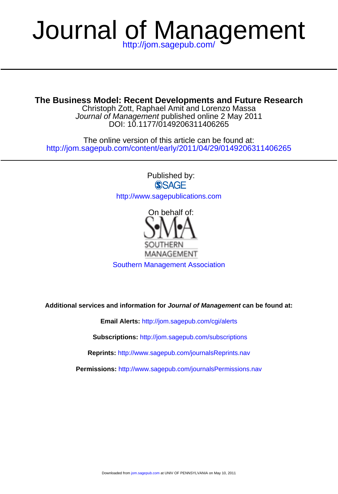# Journal of Management

DOI: 10.1177/0149206311406265 Journal of Management published online 2 May 2011 Christoph Zott, Raphael Amit and Lorenzo Massa **The Business Model: Recent Developments and Future Research**

<http://jom.sagepub.com/content/early/2011/04/29/0149206311406265> The online version of this article can be found at:

> Published by:<br>
> SAGE <http://www.sagepublications.com> On behalf of:

**Additional services and information for Journal of Management can be found at:**

[Southern Management Association](http://www.southernmanagement.org/)

MANAGEMENT

**Email Alerts:** <http://jom.sagepub.com/cgi/alerts>

**Subscriptions:** <http://jom.sagepub.com/subscriptions>

**Reprints:** <http://www.sagepub.com/journalsReprints.nav>

**Permissions:** <http://www.sagepub.com/journalsPermissions.nav>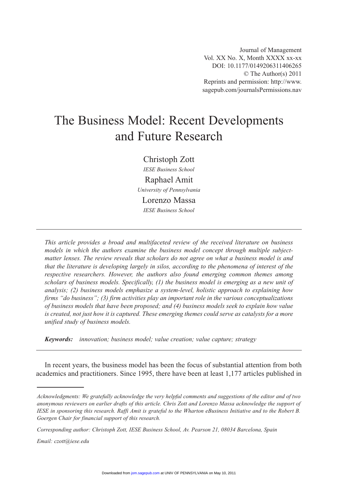Journal of Management Vol. XX No. X, Month XXXX xx-xx DOI: 10.1177/0149206311406265 © The Author(s) 2011 Reprints and permission: http://www. sagepub.com/journalsPermissions.nav

# The Business Model: Recent Developments and Future Research

Christoph Zott *IESE Business School* Raphael Amit *University of Pennsylvania* Lorenzo Massa *IESE Business School*

*This article provides a broad and multifaceted review of the received literature on business models in which the authors examine the business model concept through multiple subjectmatter lenses. The review reveals that scholars do not agree on what a business model is and that the literature is developing largely in silos, according to the phenomena of interest of the respective researchers. However, the authors also found emerging common themes among scholars of business models. Specifically, (1) the business model is emerging as a new unit of analysis; (2) business models emphasize a system-level, holistic approach to explaining how firms "do business"; (3) firm activities play an important role in the various conceptualizations of business models that have been proposed; and (4) business models seek to explain how value*  is created, not just how it is captured. These emerging themes could serve as catalysts for a more *unified study of business models.*

*Keywords: innovation; business model; value creation; value capture; strategy*

In recent years, the business model has been the focus of substantial attention from both academics and practitioners. Since 1995, there have been at least 1,177 articles published in

*Email: czott@iese.edu*

*Acknowledgments: We gratefully acknowledge the very helpful comments and suggestions of the editor and of two anonymous reviewers on earlier drafts of this article. Chris Zott and Lorenzo Massa acknowledge the support of IESE in sponsoring this research. Raffi Amit is grateful to the Wharton eBusiness Initiative and to the Robert B. Goergen Chair for financial support of this research.*

*Corresponding author: Christoph Zott, IESE Business School, Av. Pearson 21, 08034 Barcelona, Spain*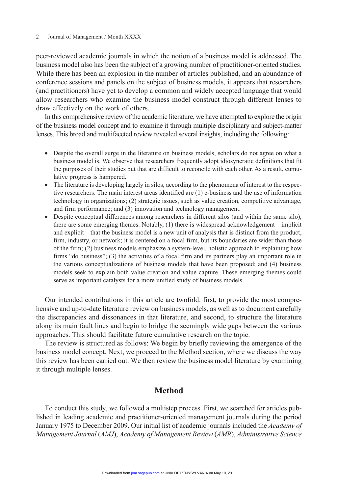#### 2 Journal of Management / Month XXXX

peer-reviewed academic journals in which the notion of a business model is addressed. The business model also has been the subject of a growing number of practitioner-oriented studies. While there has been an explosion in the number of articles published, and an abundance of conference sessions and panels on the subject of business models, it appears that researchers (and practitioners) have yet to develop a common and widely accepted language that would allow researchers who examine the business model construct through different lenses to draw effectively on the work of others.

In this comprehensive review of the academic literature, we have attempted to explore the origin of the business model concept and to examine it through multiple disciplinary and subject-matter lenses. This broad and multifaceted review revealed several insights, including the following:

- Despite the overall surge in the literature on business models, scholars do not agree on what a business model is. We observe that researchers frequently adopt idiosyncratic definitions that fit the purposes of their studies but that are difficult to reconcile with each other. As a result, cumulative progress is hampered.
- The literature is developing largely in silos, according to the phenomena of interest to the respective researchers. The main interest areas identified are (1) e-business and the use of information technology in organizations; (2) strategic issues, such as value creation, competitive advantage, and firm performance; and (3) innovation and technology management.
- Despite conceptual differences among researchers in different silos (and within the same silo), there are some emerging themes. Notably, (1) there is widespread acknowledgement—implicit and explicit—that the business model is a new unit of analysis that is distinct from the product, firm, industry, or network; it is centered on a focal firm, but its boundaries are wider than those of the firm; (2) business models emphasize a system-level, holistic approach to explaining how firms "do business"; (3) the activities of a focal firm and its partners play an important role in the various conceptualizations of business models that have been proposed; and (4) business models seek to explain both value creation and value capture. These emerging themes could serve as important catalysts for a more unified study of business models.

Our intended contributions in this article are twofold: first, to provide the most comprehensive and up-to-date literature review on business models, as well as to document carefully the discrepancies and dissonances in that literature, and second, to structure the literature along its main fault lines and begin to bridge the seemingly wide gaps between the various approaches. This should facilitate future cumulative research on the topic.

The review is structured as follows: We begin by briefly reviewing the emergence of the business model concept. Next, we proceed to the Method section, where we discuss the way this review has been carried out. We then review the business model literature by examining it through multiple lenses.

# **Method**

To conduct this study, we followed a multistep process. First, we searched for articles published in leading academic and practitioner-oriented management journals during the period January 1975 to December 2009. Our initial list of academic journals included the *Academy of Management Journal* (*AMJ*), *Academy of Management Review* (*AMR*), *Administrative Science*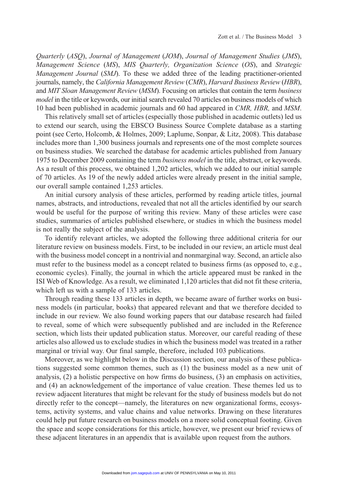*Quarterly* (*ASQ*), *Journal of Management* (*JOM*), *Journal of Management Studies* (*JMS*), *Management Science* (*MS*), *MIS Quarterly, Organization Science* (*OS*), and *Strategic Management Journal* (*SMJ*). To these we added three of the leading practitioner-oriented journals, namely, the *California Management Review* (*CMR*), *Harvard Business Review* (*HBR*), and *MIT Sloan Management Review* (*MSM*). Focusing on articles that contain the term *business model* in the title or keywords, our initial search revealed 70 articles on business models of which 10 had been published in academic journals and 60 had appeared in *CMR, HBR,* and *MSM*.

This relatively small set of articles (especially those published in academic outlets) led us to extend our search, using the EBSCO Business Source Complete database as a starting point (see Certo, Holcomb, & Holmes, 2009; Laplume, Sonpar, & Litz, 2008). This database includes more than 1,300 business journals and represents one of the most complete sources on business studies. We searched the database for academic articles published from January 1975 to December 2009 containing the term *business model* in the title, abstract, or keywords. As a result of this process, we obtained 1,202 articles, which we added to our initial sample of 70 articles. As 19 of the newly added articles were already present in the initial sample, our overall sample contained 1,253 articles.

An initial cursory analysis of these articles, performed by reading article titles, journal names, abstracts, and introductions, revealed that not all the articles identified by our search would be useful for the purpose of writing this review. Many of these articles were case studies, summaries of articles published elsewhere, or studies in which the business model is not really the subject of the analysis.

To identify relevant articles, we adopted the following three additional criteria for our literature review on business models. First, to be included in our review, an article must deal with the business model concept in a nontrivial and nonmarginal way. Second, an article also must refer to the business model as a concept related to business firms (as opposed to, e.g., economic cycles). Finally, the journal in which the article appeared must be ranked in the ISI Web of Knowledge. As a result, we eliminated 1,120 articles that did not fit these criteria, which left us with a sample of 133 articles.

Through reading these 133 articles in depth, we became aware of further works on business models (in particular, books) that appeared relevant and that we therefore decided to include in our review. We also found working papers that our database research had failed to reveal, some of which were subsequently published and are included in the Reference section, which lists their updated publication status. Moreover, our careful reading of these articles also allowed us to exclude studies in which the business model was treated in a rather marginal or trivial way. Our final sample, therefore, included 103 publications.

Moreover, as we highlight below in the Discussion section, our analysis of these publications suggested some common themes, such as (1) the business model as a new unit of analysis, (2) a holistic perspective on how firms do business, (3) an emphasis on activities, and (4) an acknowledgement of the importance of value creation. These themes led us to review adjacent literatures that might be relevant for the study of business models but do not directly refer to the concept—namely, the literatures on new organizational forms, ecosystems, activity systems, and value chains and value networks. Drawing on these literatures could help put future research on business models on a more solid conceptual footing. Given the space and scope considerations for this article, however, we present our brief reviews of these adjacent literatures in an appendix that is available upon request from the authors.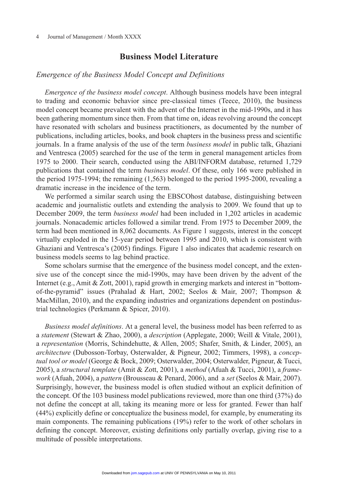#### 4 Journal of Management / Month XXXX

# **Business Model Literature**

#### *Emergence of the Business Model Concept and Definitions*

*Emergence of the business model concept*. Although business models have been integral to trading and economic behavior since pre-classical times (Teece, 2010), the business model concept became prevalent with the advent of the Internet in the mid-1990s, and it has been gathering momentum since then. From that time on, ideas revolving around the concept have resonated with scholars and business practitioners, as documented by the number of publications, including articles, books, and book chapters in the business press and scientific journals. In a frame analysis of the use of the term *business model* in public talk, Ghaziani and Ventresca (2005) searched for the use of the term in general management articles from 1975 to 2000. Their search, conducted using the ABI/INFORM database, returned 1,729 publications that contained the term *business model*. Of these, only 166 were published in the period 1975-1994; the remaining (1,563) belonged to the period 1995-2000, revealing a dramatic increase in the incidence of the term.

We performed a similar search using the EBSCOhost database, distinguishing between academic and journalistic outlets and extending the analysis to 2009. We found that up to December 2009, the term *business model* had been included in 1,202 articles in academic journals. Nonacademic articles followed a similar trend. From 1975 to December 2009, the term had been mentioned in 8,062 documents. As Figure 1 suggests, interest in the concept virtually exploded in the 15-year period between 1995 and 2010, which is consistent with Ghaziani and Ventresca's (2005) findings. Figure 1 also indicates that academic research on business models seems to lag behind practice.

Some scholars surmise that the emergence of the business model concept, and the extensive use of the concept since the mid-1990s, may have been driven by the advent of the Internet (e.g., Amit & Zott, 2001), rapid growth in emerging markets and interest in "bottomof-the-pyramid" issues (Prahalad & Hart, 2002; Seelos & Mair, 2007; Thompson & MacMillan, 2010), and the expanding industries and organizations dependent on postindustrial technologies (Perkmann & Spicer, 2010).

*Business model definitions*. At a general level, the business model has been referred to as a *statement* (Stewart & Zhao, 2000), a *description* (Applegate, 2000; Weill & Vitale, 2001), a *representation* (Morris, Schindehutte, & Allen, 2005; Shafer, Smith, & Linder, 2005), an *architecture* (Dubosson-Torbay, Osterwalder, & Pigneur, 2002; Timmers, 1998), a *conceptual tool or model* (George & Bock, 2009; Osterwalder, 2004; Osterwalder, Pigneur, & Tucci, 2005), a *structural template* (Amit & Zott, 2001), a *method* (Afuah & Tucci, 2001), a *framework* (Afuah, 2004), a *pattern* (Brousseau & Penard, 2006), and a *set* (Seelos & Mair, 2007). Surprisingly, however, the business model is often studied without an explicit definition of the concept. Of the 103 business model publications reviewed, more than one third (37%) do not define the concept at all, taking its meaning more or less for granted. Fewer than half (44%) explicitly define or conceptualize the business model, for example, by enumerating its main components. The remaining publications (19%) refer to the work of other scholars in defining the concept. Moreover, existing definitions only partially overlap, giving rise to a multitude of possible interpretations.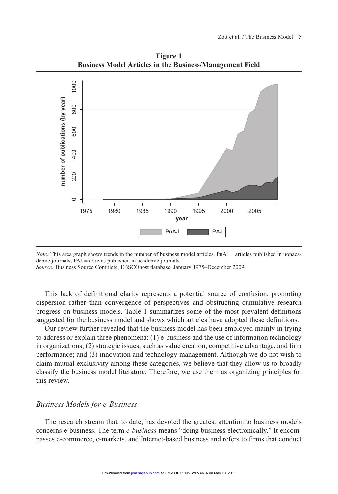

**Figure 1 Business Model Articles in the Business/Management Field**

*Source:* Business Source Complete, EBSCOhost database, January 1975–December 2009.

This lack of definitional clarity represents a potential source of confusion, promoting dispersion rather than convergence of perspectives and obstructing cumulative research progress on business models. Table 1 summarizes some of the most prevalent definitions suggested for the business model and shows which articles have adopted these definitions.

Our review further revealed that the business model has been employed mainly in trying to address or explain three phenomena: (1) e-business and the use of information technology in organizations; (2) strategic issues, such as value creation, competitive advantage, and firm performance; and (3) innovation and technology management. Although we do not wish to claim mutual exclusivity among these categories, we believe that they allow us to broadly classify the business model literature. Therefore, we use them as organizing principles for this review.

#### *Business Models for e-Business*

The research stream that, to date, has devoted the greatest attention to business models concerns e-business. The term *e-business* means "doing business electronically." It encompasses e-commerce, e-markets, and Internet-based business and refers to firms that conduct

*Note:* This area graph shows trends in the number of business model articles. PnAJ = articles published in nonacademic journals; PAJ = articles published in academic journals.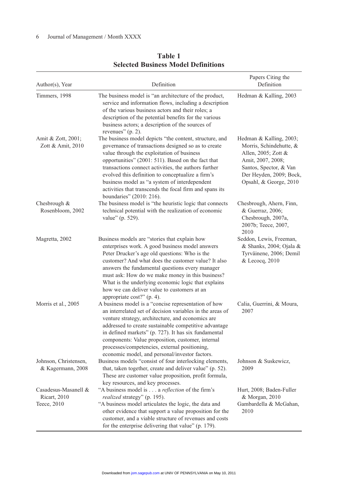| Author(s), Year                                     | Definition                                                                                                                                                                                                                                                                                                                                                                                                                                                              | Papers Citing the<br>Definition                                                                                                                                               |
|-----------------------------------------------------|-------------------------------------------------------------------------------------------------------------------------------------------------------------------------------------------------------------------------------------------------------------------------------------------------------------------------------------------------------------------------------------------------------------------------------------------------------------------------|-------------------------------------------------------------------------------------------------------------------------------------------------------------------------------|
| Timmers, 1998                                       | The business model is "an architecture of the product,<br>service and information flows, including a description<br>of the various business actors and their roles; a<br>description of the potential benefits for the various<br>business actors; a description of the sources of<br>revenues" (p. 2).                                                                                                                                                                 | Hedman & Kalling, 2003                                                                                                                                                        |
| Amit & Zott, 2001;<br>Zott & Amit, 2010             | The business model depicts "the content, structure, and<br>governance of transactions designed so as to create<br>value through the exploitation of business<br>opportunities" (2001: 511). Based on the fact that<br>transactions connect activities, the authors further<br>evolved this definition to conceptualize a firm's<br>business model as "a system of interdependent<br>activities that transcends the focal firm and spans its<br>boundaries" (2010: 216). | Hedman & Kalling, 2003;<br>Morris, Schindehutte, &<br>Allen, 2005; Zott &<br>Amit, 2007, 2008;<br>Santos, Spector, & Van<br>Der Heyden, 2009; Bock,<br>Opsahl, & George, 2010 |
| Chesbrough $&$<br>Rosenbloom, 2002                  | The business model is "the heuristic logic that connects<br>technical potential with the realization of economic<br>value" (p. 529).                                                                                                                                                                                                                                                                                                                                    | Chesbrough, Ahern, Finn,<br>& Guerraz, 2006;<br>Chesbrough, 2007a,<br>2007b; Teece, 2007,<br>2010                                                                             |
| Magretta, 2002                                      | Business models are "stories that explain how<br>enterprises work. A good business model answers<br>Peter Drucker's age old questions: Who is the<br>customer? And what does the customer value? It also<br>answers the fundamental questions every manager<br>must ask: How do we make money in this business?<br>What is the underlying economic logic that explains<br>how we can deliver value to customers at an<br>appropriate cost?" (p. 4).                     | Seddon, Lewis, Freeman,<br>& Shanks, 2004; Ojala &<br>Tyrväinene, 2006; Demil<br>& Lecocq, 2010                                                                               |
| Morris et al., 2005                                 | A business model is a "concise representation of how<br>an interrelated set of decision variables in the areas of<br>venture strategy, architecture, and economics are<br>addressed to create sustainable competitive advantage<br>in defined markets" (p. 727). It has six fundamental<br>components: Value proposition, customer, internal<br>processes/competencies, external positioning,<br>economic model, and personal/investor factors.                         | Calia, Guerrini, & Moura,<br>2007                                                                                                                                             |
| Johnson, Christensen,<br>& Kagermann, 2008          | Business models "consist of four interlocking elements,<br>that, taken together, create and deliver value" (p. 52).<br>These are customer value proposition, profit formula,<br>key resources, and key processes.                                                                                                                                                                                                                                                       | Johnson & Suskewicz,<br>2009                                                                                                                                                  |
| Casadesus-Masanell &<br>Ricart, 2010<br>Teece, 2010 | "A business model is a <i>reflection</i> of the firm's<br>realized strategy" (p. 195).<br>"A business model articulates the logic, the data and<br>other evidence that support a value proposition for the<br>customer, and a viable structure of revenues and costs<br>for the enterprise delivering that value" (p. 179).                                                                                                                                             | Hurt, 2008; Baden-Fuller<br>& Morgan, 2010<br>Gambardella & McGahan,<br>2010                                                                                                  |

# **Table 1 Selected Business Model Definitions**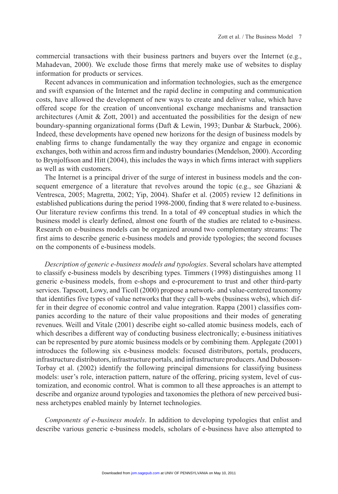commercial transactions with their business partners and buyers over the Internet (e.g., Mahadevan, 2000). We exclude those firms that merely make use of websites to display information for products or services.

Recent advances in communication and information technologies, such as the emergence and swift expansion of the Internet and the rapid decline in computing and communication costs, have allowed the development of new ways to create and deliver value, which have offered scope for the creation of unconventional exchange mechanisms and transaction architectures (Amit  $\&$  Zott, 2001) and accentuated the possibilities for the design of new boundary-spanning organizational forms (Daft & Lewin, 1993; Dunbar & Starbuck, 2006). Indeed, these developments have opened new horizons for the design of business models by enabling firms to change fundamentally the way they organize and engage in economic exchanges, both within and across firm and industry boundaries (Mendelson, 2000). According to Brynjolfsson and Hitt (2004), this includes the ways in which firms interact with suppliers as well as with customers.

The Internet is a principal driver of the surge of interest in business models and the consequent emergence of a literature that revolves around the topic (e.g., see Ghaziani  $\&$ Ventresca, 2005; Magretta, 2002; Yip, 2004). Shafer et al. (2005) review 12 definitions in established publications during the period 1998-2000, finding that 8 were related to e-business. Our literature review confirms this trend. In a total of 49 conceptual studies in which the business model is clearly defined, almost one fourth of the studies are related to e-business. Research on e-business models can be organized around two complementary streams: The first aims to describe generic e-business models and provide typologies; the second focuses on the components of e-business models.

*Description of generic e-business models and typologies*. Several scholars have attempted to classify e-business models by describing types. Timmers (1998) distinguishes among 11 generic e-business models, from e-shops and e-procurement to trust and other third-party services. Tapscott, Lowy, and Ticoll (2000) propose a network- and value-centered taxonomy that identifies five types of value networks that they call b-webs (business webs), which differ in their degree of economic control and value integration. Rappa (2001) classifies companies according to the nature of their value propositions and their modes of generating revenues. Weill and Vitale (2001) describe eight so-called atomic business models, each of which describes a different way of conducting business electronically; e-business initiatives can be represented by pure atomic business models or by combining them. Applegate (2001) introduces the following six e-business models: focused distributors, portals, producers, infrastructure distributors, infrastructure portals, and infrastructure producers. And Dubosson-Torbay et al. (2002) identify the following principal dimensions for classifying business models: user's role, interaction pattern, nature of the offering, pricing system, level of customization, and economic control. What is common to all these approaches is an attempt to describe and organize around typologies and taxonomies the plethora of new perceived business archetypes enabled mainly by Internet technologies.

*Components of e-business models*. In addition to developing typologies that enlist and describe various generic e-business models, scholars of e-business have also attempted to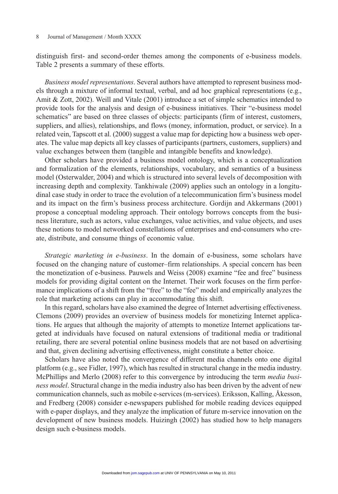distinguish first- and second-order themes among the components of e-business models. Table 2 presents a summary of these efforts.

*Business model representations*. Several authors have attempted to represent business models through a mixture of informal textual, verbal, and ad hoc graphical representations (e.g., Amit & Zott, 2002). Weill and Vitale (2001) introduce a set of simple schematics intended to provide tools for the analysis and design of e-business initiatives. Their "e-business model schematics" are based on three classes of objects: participants (firm of interest, customers, suppliers, and allies), relationships, and flows (money, information, product, or service). In a related vein, Tapscott et al. (2000) suggest a value map for depicting how a business web operates. The value map depicts all key classes of participants (partners, customers, suppliers) and value exchanges between them (tangible and intangible benefits and knowledge).

Other scholars have provided a business model ontology, which is a conceptualization and formalization of the elements, relationships, vocabulary, and semantics of a business model (Osterwalder, 2004) and which is structured into several levels of decomposition with increasing depth and complexity. Tankhiwale (2009) applies such an ontology in a longitudinal case study in order to trace the evolution of a telecommunication firm's business model and its impact on the firm's business process architecture. Gordijn and Akkermans (2001) propose a conceptual modeling approach. Their ontology borrows concepts from the business literature, such as actors, value exchanges, value activities, and value objects, and uses these notions to model networked constellations of enterprises and end-consumers who create, distribute, and consume things of economic value.

*Strategic marketing in e-business*. In the domain of e-business, some scholars have focused on the changing nature of customer–firm relationships. A special concern has been the monetization of e-business. Pauwels and Weiss (2008) examine "fee and free" business models for providing digital content on the Internet. Their work focuses on the firm performance implications of a shift from the "free" to the "fee" model and empirically analyzes the role that marketing actions can play in accommodating this shift.

In this regard, scholars have also examined the degree of Internet advertising effectiveness. Clemons (2009) provides an overview of business models for monetizing Internet applications. He argues that although the majority of attempts to monetize Internet applications targeted at individuals have focused on natural extensions of traditional media or traditional retailing, there are several potential online business models that are not based on advertising and that, given declining advertising effectiveness, might constitute a better choice.

Scholars have also noted the convergence of different media channels onto one digital platform (e.g., see Fidler, 1997), which has resulted in structural change in the media industry. McPhillips and Merlo (2008) refer to this convergence by introducing the term *media business model*. Structural change in the media industry also has been driven by the advent of new communication channels, such as mobile e-services (m-services). Eriksson, Kalling, Åkesson, and Fredberg (2008) consider e-newspapers published for mobile reading devices equipped with e-paper displays, and they analyze the implication of future m-service innovation on the development of new business models. Huizingh (2002) has studied how to help managers design such e-business models.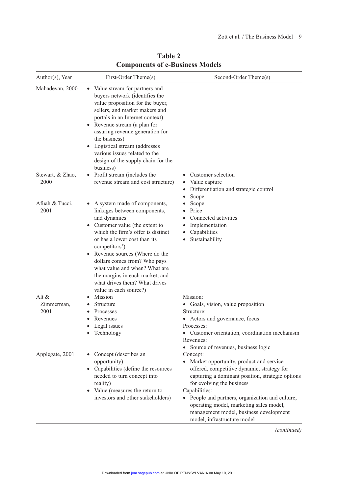| Author(s), Year                | First-Order Theme(s)                                                                                                                                                                                                                                                                                                                                                               | Second-Order Theme(s)                                                                                                                                                                                                                                                                                                                                                                                                                       |
|--------------------------------|------------------------------------------------------------------------------------------------------------------------------------------------------------------------------------------------------------------------------------------------------------------------------------------------------------------------------------------------------------------------------------|---------------------------------------------------------------------------------------------------------------------------------------------------------------------------------------------------------------------------------------------------------------------------------------------------------------------------------------------------------------------------------------------------------------------------------------------|
| Mahadevan, 2000                | Value stream for partners and<br>buyers network (identifies the<br>value proposition for the buyer,<br>sellers, and market makers and<br>portals in an Internet context)<br>• Revenue stream (a plan for<br>assuring revenue generation for<br>the business)<br>• Logistical stream (addresses<br>various issues related to the<br>design of the supply chain for the<br>business) |                                                                                                                                                                                                                                                                                                                                                                                                                                             |
| Stewart, & Zhao,<br>2000       | Profit stream (includes the<br>revenue stream and cost structure)                                                                                                                                                                                                                                                                                                                  | Customer selection<br>Value capture<br>$\bullet$<br>Differentiation and strategic control<br>$\bullet$<br>Scope<br>$\bullet$                                                                                                                                                                                                                                                                                                                |
| Afuah & Tucci,<br>2001         | • A system made of components,<br>linkages between components,<br>and dynamics<br>• Customer value (the extent to<br>which the firm's offer is distinct<br>or has a lower cost than its<br>competitors')<br>• Revenue sources (Where do the<br>dollars comes from? Who pays<br>what value and when? What are<br>the margins in each market, and<br>what drives them? What drives   | Scope<br>$\bullet$<br>Price<br>$\bullet$<br>Connected activities<br>$\bullet$<br>Implementation<br>$\bullet$<br>Capabilities<br>$\bullet$<br>Sustainability<br>$\bullet$                                                                                                                                                                                                                                                                    |
| Alt $\&$<br>Zimmerman,<br>2001 | value in each source?)<br>Mission<br>Structure<br>Processes<br>Revenues<br>Legal issues<br>Technology                                                                                                                                                                                                                                                                              | Mission:<br>• Goals, vision, value proposition<br>Structure:<br>• Actors and governance, focus<br>Processes:<br>• Customer orientation, coordination mechanism<br>Revenues:                                                                                                                                                                                                                                                                 |
| Applegate, 2001                | Concept (describes an<br>$\bullet$<br>opportunity)<br>• Capabilities (define the resources<br>needed to turn concept into<br>reality)<br>• Value (measures the return to<br>investors and other stakeholders)                                                                                                                                                                      | Source of revenues, business logic<br>$\bullet$<br>Concept:<br>• Market opportunity, product and service<br>offered, competitive dynamic, strategy for<br>capturing a dominant position, strategic options<br>for evolving the business<br>Capabilities:<br>People and partners, organization and culture,<br>$\bullet$<br>operating model, marketing sales model,<br>management model, business development<br>model, infrastructure model |

**Table 2 Components of e-Business Models**

*(continued)*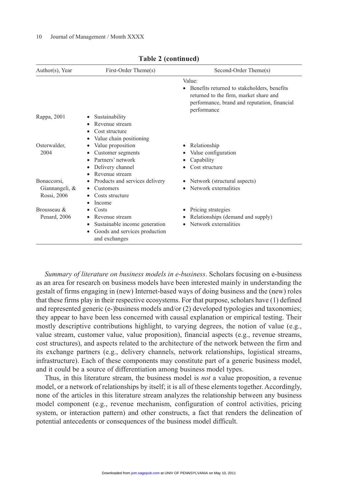| Author(s), Year                              | First-Order Theme(s)                                                                                            | Second-Order Theme(s)                                                                                                                                          |  |
|----------------------------------------------|-----------------------------------------------------------------------------------------------------------------|----------------------------------------------------------------------------------------------------------------------------------------------------------------|--|
|                                              |                                                                                                                 | Value:<br>Benefits returned to stakeholders, benefits<br>returned to the firm, market share and<br>performance, brand and reputation, financial<br>performance |  |
| Rappa, 2001                                  | Sustainability<br>٠<br>Revenue stream<br>Cost structure<br>Value chain positioning                              |                                                                                                                                                                |  |
| Osterwalder.<br>2004                         | Value proposition<br>Customer segments<br>Partners' network<br>Delivery channel<br>Revenue stream               | Relationship<br>٠<br>Value configuration<br>Capability<br>Cost structure                                                                                       |  |
| Bonaccorsi.<br>Giannangeli, &<br>Rossi, 2006 | Products and services delivery<br>Customers<br>Costs structure<br>Income                                        | Network (structural aspects)<br>$\bullet$<br>Network externalities<br>$\bullet$                                                                                |  |
| Brousseau &<br>Penard, 2006                  | Costs<br>Revenue stream<br>Sustainable income generation<br>Goods and services production<br>٠<br>and exchanges | Pricing strategies<br>Relationships (demand and supply)<br>Network externalities                                                                               |  |

#### **Table 2 (continued)**

*Summary of literature on business models in e-business*. Scholars focusing on e-business as an area for research on business models have been interested mainly in understanding the gestalt of firms engaging in (new) Internet-based ways of doing business and the (new) roles that these firms play in their respective ecosystems. For that purpose, scholars have (1) defined and represented generic (e-)business models and/or (2) developed typologies and taxonomies; they appear to have been less concerned with causal explanation or empirical testing. Their mostly descriptive contributions highlight, to varying degrees, the notion of value (e.g., value stream, customer value, value proposition), financial aspects (e.g., revenue streams, cost structures), and aspects related to the architecture of the network between the firm and its exchange partners (e.g., delivery channels, network relationships, logistical streams, infrastructure). Each of these components may constitute part of a generic business model, and it could be a source of differentiation among business model types.

Thus, in this literature stream, the business model is *not* a value proposition, a revenue model, or a network of relationships by itself; it is all of these elements together. Accordingly, none of the articles in this literature stream analyzes the relationship between any business model component (e.g., revenue mechanism, configuration of control activities, pricing system, or interaction pattern) and other constructs, a fact that renders the delineation of potential antecedents or consequences of the business model difficult.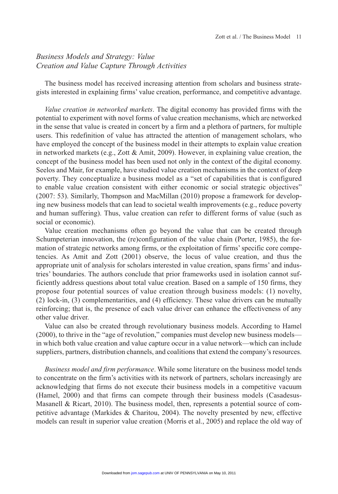## *Business Models and Strategy: Value Creation and Value Capture Through Activities*

The business model has received increasing attention from scholars and business strategists interested in explaining firms' value creation, performance, and competitive advantage.

*Value creation in networked markets*. The digital economy has provided firms with the potential to experiment with novel forms of value creation mechanisms, which are networked in the sense that value is created in concert by a firm and a plethora of partners, for multiple users. This redefinition of value has attracted the attention of management scholars, who have employed the concept of the business model in their attempts to explain value creation in networked markets (e.g., Zott & Amit, 2009). However, in explaining value creation, the concept of the business model has been used not only in the context of the digital economy. Seelos and Mair, for example, have studied value creation mechanisms in the context of deep poverty. They conceptualize a business model as a "set of capabilities that is configured to enable value creation consistent with either economic or social strategic objectives" (2007: 53). Similarly, Thompson and MacMillan (2010) propose a framework for developing new business models that can lead to societal wealth improvements (e.g., reduce poverty and human suffering). Thus, value creation can refer to different forms of value (such as social or economic).

Value creation mechanisms often go beyond the value that can be created through Schumpeterian innovation, the (re)configuration of the value chain (Porter, 1985), the formation of strategic networks among firms, or the exploitation of firms' specific core competencies. As Amit and Zott (2001) observe, the locus of value creation, and thus the appropriate unit of analysis for scholars interested in value creation, spans firms' and industries' boundaries. The authors conclude that prior frameworks used in isolation cannot sufficiently address questions about total value creation. Based on a sample of 150 firms, they propose four potential sources of value creation through business models: (1) novelty, (2) lock-in, (3) complementarities, and (4) efficiency. These value drivers can be mutually reinforcing; that is, the presence of each value driver can enhance the effectiveness of any other value driver.

Value can also be created through revolutionary business models. According to Hamel (2000), to thrive in the "age of revolution," companies must develop new business models in which both value creation and value capture occur in a value network—which can include suppliers, partners, distribution channels, and coalitions that extend the company's resources.

*Business model and firm performance*. While some literature on the business model tends to concentrate on the firm's activities with its network of partners, scholars increasingly are acknowledging that firms do not execute their business models in a competitive vacuum (Hamel, 2000) and that firms can compete through their business models (Casadesus-Masanell & Ricart, 2010). The business model, then, represents a potential source of competitive advantage (Markides & Charitou, 2004). The novelty presented by new, effective models can result in superior value creation (Morris et al., 2005) and replace the old way of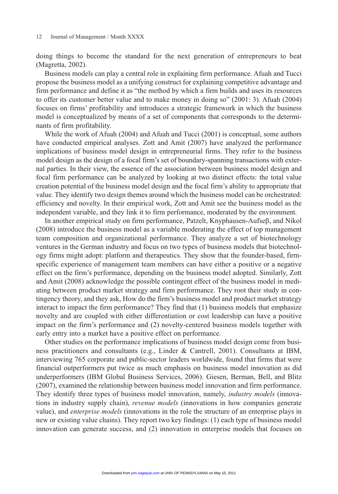doing things to become the standard for the next generation of entrepreneurs to beat (Magretta, 2002).

Business models can play a central role in explaining firm performance. Afuah and Tucci propose the business model as a unifying construct for explaining competitive advantage and firm performance and define it as "the method by which a firm builds and uses its resources to offer its customer better value and to make money in doing so" (2001: 3). Afuah (2004) focuses on firms' profitability and introduces a strategic framework in which the business model is conceptualized by means of a set of components that corresponds to the determinants of firm profitability.

While the work of Afuah (2004) and Afuah and Tucci (2001) is conceptual, some authors have conducted empirical analyses. Zott and Amit (2007) have analyzed the performance implications of business model design in entrepreneurial firms. They refer to the business model design as the design of a focal firm's set of boundary-spanning transactions with external parties. In their view, the essence of the association between business model design and focal firm performance can be analyzed by looking at two distinct effects: the total value creation potential of the business model design and the focal firm's ability to appropriate that value. They identify two design themes around which the business model can be orchestrated: efficiency and novelty. In their empirical work, Zott and Amit see the business model as the independent variable, and they link it to firm performance, moderated by the environment.

In another empirical study on firm performance, Patzelt, Knyphausen-Aufseb, and Nikol (2008) introduce the business model as a variable moderating the effect of top management team composition and organizational performance. They analyze a set of biotechnology ventures in the German industry and focus on two types of business models that biotechnology firms might adopt: platform and therapeutics. They show that the founder-based, firmspecific experience of management team members can have either a positive or a negative effect on the firm's performance, depending on the business model adopted. Similarly, Zott and Amit (2008) acknowledge the possible contingent effect of the business model in mediating between product market strategy and firm performance. They root their study in contingency theory, and they ask, How do the firm's business model and product market strategy interact to impact the firm performance? They find that (1) business models that emphasize novelty and are coupled with either differentiation or cost leadership can have a positive impact on the firm's performance and (2) novelty-centered business models together with early entry into a market have a positive effect on performance.

Other studies on the performance implications of business model design come from business practitioners and consultants (e.g., Linder & Cantrell, 2001). Consultants at IBM, interviewing 765 corporate and public-sector leaders worldwide, found that firms that were financial outperformers put twice as much emphasis on business model innovation as did underperformers (IBM Global Business Services, 2006). Giesen, Berman, Bell, and Blitz (2007), examined the relationship between business model innovation and firm performance. They identify three types of business model innovation, namely, *industry models* (innovations in industry supply chain), *revenue models* (innovations in how companies generate value), and *enterprise models* (innovations in the role the structure of an enterprise plays in new or existing value chains). They report two key findings: (1) each type of business model innovation can generate success, and (2) innovation in enterprise models that focuses on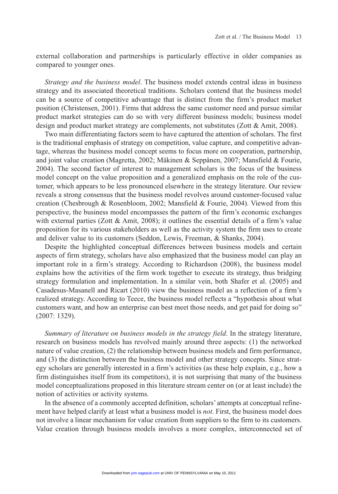external collaboration and partnerships is particularly effective in older companies as compared to younger ones.

*Strategy and the business model*. The business model extends central ideas in business strategy and its associated theoretical traditions. Scholars contend that the business model can be a source of competitive advantage that is distinct from the firm's product market position (Christensen, 2001). Firms that address the same customer need and pursue similar product market strategies can do so with very different business models; business model design and product market strategy are complements, not substitutes (Zott & Amit, 2008).

Two main differentiating factors seem to have captured the attention of scholars. The first is the traditional emphasis of strategy on competition, value capture, and competitive advantage, whereas the business model concept seems to focus more on cooperation, partnership, and joint value creation (Magretta, 2002; Mäkinen & Seppänen, 2007; Mansfield & Fourie, 2004). The second factor of interest to management scholars is the focus of the business model concept on the value proposition and a generalized emphasis on the role of the customer, which appears to be less pronounced elsewhere in the strategy literature. Our review reveals a strong consensus that the business model revolves around customer-focused value creation (Chesbrough & Rosenbloom, 2002; Mansfield & Fourie, 2004). Viewed from this perspective, the business model encompasses the pattern of the firm's economic exchanges with external parties (Zott  $& Amit, 2008$ ); it outlines the essential details of a firm's value proposition for its various stakeholders as well as the activity system the firm uses to create and deliver value to its customers (Seddon, Lewis, Freeman, & Shanks, 2004).

Despite the highlighted conceptual differences between business models and certain aspects of firm strategy, scholars have also emphasized that the business model can play an important role in a firm's strategy. According to Richardson (2008), the business model explains how the activities of the firm work together to execute its strategy, thus bridging strategy formulation and implementation. In a similar vein, both Shafer et al. (2005) and Casadesus-Masanell and Ricart (2010) view the business model as a reflection of a firm's realized strategy. According to Teece, the business model reflects a "hypothesis about what customers want, and how an enterprise can best meet those needs, and get paid for doing so" (2007: 1329).

*Summary of literature on business models in the strategy field*. In the strategy literature, research on business models has revolved mainly around three aspects: (1) the networked nature of value creation, (2) the relationship between business models and firm performance, and (3) the distinction between the business model and other strategy concepts. Since strategy scholars are generally interested in a firm's activities (as these help explain, e.g., how a firm distinguishes itself from its competitors), it is not surprising that many of the business model conceptualizations proposed in this literature stream center on (or at least include) the notion of activities or activity systems.

In the absence of a commonly accepted definition, scholars' attempts at conceptual refinement have helped clarify at least what a business model is *not*. First, the business model does not involve a linear mechanism for value creation from suppliers to the firm to its customers. Value creation through business models involves a more complex, interconnected set of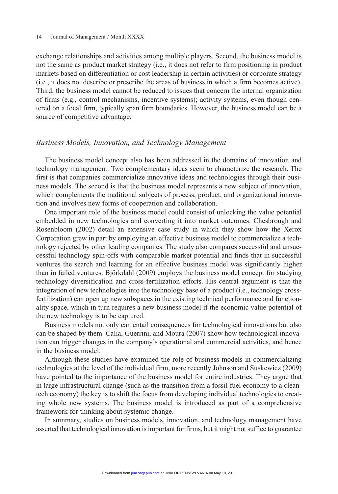#### 14 Journal of Management / Month XXXX

exchange relationships and activities among multiple players. Second, the business model is not the same as product market strategy (i.e., it does not refer to firm positioning in product markets based on differentiation or cost leadership in certain activities) or corporate strategy (i.e., it does not describe or prescribe the areas of business in which a firm becomes active). Third, the business model cannot be reduced to issues that concern the internal organization of firms (e.g., control mechanisms, incentive systems); activity systems, even though centered on a focal firm, typically span firm boundaries. However, the business model can be a source of competitive advantage.

#### *Business Models, Innovation, and Technology Management*

The business model concept also has been addressed in the domains of innovation and technology management. Two complementary ideas seem to characterize the research. The first is that companies commercialize innovative ideas and technologies through their business models. The second is that the business model represents a new subject of innovation, which complements the traditional subjects of process, product, and organizational innovation and involves new forms of cooperation and collaboration.

One important role of the business model could consist of unlocking the value potential embedded in new technologies and converting it into market outcomes. Chesbrough and Rosenbloom (2002) detail an extensive case study in which they show how the Xerox Corporation grew in part by employing an effective business model to commercialize a technology rejected by other leading companies. The study also compares successful and unsuccessful technology spin-offs with comparable market potential and finds that in successful ventures the search and learning for an effective business model was significantly higher than in failed ventures. Björkdahl (2009) employs the business model concept for studying technology diversification and cross-fertilization efforts. His central argument is that the integration of new technologies into the technology base of a product (i.e., technology crossfertilization) can open up new subspaces in the existing technical performance and functionality space, which in turn requires a new business model if the economic value potential of the new technology is to be captured.

Business models not only can entail consequences for technological innovations but also can be shaped by them. Calia, Guerrini, and Moura (2007) show how technological innovation can trigger changes in the company's operational and commercial activities, and hence in the business model.

Although these studies have examined the role of business models in commercializing technologies at the level of the individual firm, more recently Johnson and Suskewicz (2009) have pointed to the importance of the business model for entire industries. They argue that in large infrastructural change (such as the transition from a fossil fuel economy to a cleantech economy) the key is to shift the focus from developing individual technologies to creating whole new systems. The business model is introduced as part of a comprehensive framework for thinking about systemic change.

In summary, studies on business models, innovation, and technology management have asserted that technological innovation is important for firms, but it might not suffice to guarantee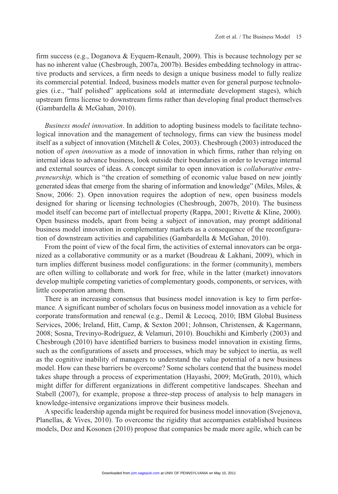firm success (e.g., Doganova & Eyquem-Renault, 2009). This is because technology per se has no inherent value (Chesbrough, 2007a, 2007b). Besides embedding technology in attractive products and services, a firm needs to design a unique business model to fully realize its commercial potential. Indeed, business models matter even for general purpose technologies (i.e., "half polished" applications sold at intermediate development stages), which upstream firms license to downstream firms rather than developing final product themselves (Gambardella & McGahan, 2010).

*Business model innovation*. In addition to adopting business models to facilitate technological innovation and the management of technology, firms can view the business model itself as a subject of innovation (Mitchell & Coles, 2003). Chesbrough (2003) introduced the notion of *open innovation* as a mode of innovation in which firms, rather than relying on internal ideas to advance business, look outside their boundaries in order to leverage internal and external sources of ideas. A concept similar to open innovation is *collaborative entrepreneurship,* which is "the creation of something of economic value based on new jointly generated ideas that emerge from the sharing of information and knowledge" (Miles, Miles, & Snow, 2006: 2). Open innovation requires the adoption of new, open business models designed for sharing or licensing technologies (Chesbrough, 2007b, 2010). The business model itself can become part of intellectual property (Rappa, 2001; Rivette & Kline, 2000). Open business models, apart from being a subject of innovation, may prompt additional business model innovation in complementary markets as a consequence of the reconfiguration of downstream activities and capabilities (Gambardella & McGahan, 2010).

From the point of view of the focal firm, the activities of external innovators can be organized as a collaborative community or as a market (Boudreau & Lakhani, 2009), which in turn implies different business model configurations: in the former (community), members are often willing to collaborate and work for free, while in the latter (market) innovators develop multiple competing varieties of complementary goods, components, or services, with little cooperation among them.

There is an increasing consensus that business model innovation is key to firm performance. A significant number of scholars focus on business model innovation as a vehicle for corporate transformation and renewal (e.g., Demil & Lecocq, 2010; IBM Global Business Services, 2006; Ireland, Hitt, Camp, & Sexton 2001; Johnson, Christensen, & Kagermann, 2008; Sosna, Trevinyo-Rodríguez, & Velamuri, 2010). Bouchikhi and Kimberly (2003) and Chesbrough (2010) have identified barriers to business model innovation in existing firms, such as the configurations of assets and processes, which may be subject to inertia, as well as the cognitive inability of managers to understand the value potential of a new business model. How can these barriers be overcome? Some scholars contend that the business model takes shape through a process of experimentation (Hayashi, 2009; McGrath, 2010), which might differ for different organizations in different competitive landscapes. Sheehan and Stabell (2007), for example, propose a three-step process of analysis to help managers in knowledge-intensive organizations improve their business models.

A specific leadership agenda might be required for business model innovation (Svejenova, Planellas, & Vives, 2010). To overcome the rigidity that accompanies established business models, Doz and Kosonen (2010) propose that companies be made more agile, which can be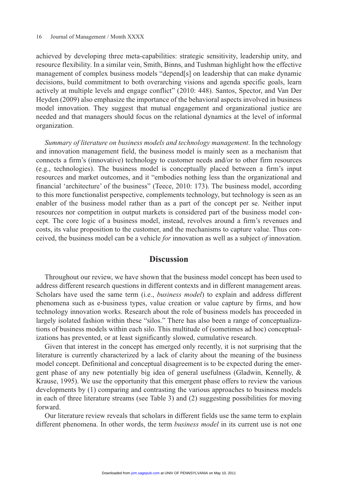achieved by developing three meta-capabilities: strategic sensitivity, leadership unity, and resource flexibility. In a similar vein, Smith, Binns, and Tushman highlight how the effective management of complex business models "depend[s] on leadership that can make dynamic decisions, build commitment to both overarching visions and agenda specific goals, learn actively at multiple levels and engage conflict" (2010: 448). Santos, Spector, and Van Der Heyden (2009) also emphasize the importance of the behavioral aspects involved in business model innovation. They suggest that mutual engagement and organizational justice are needed and that managers should focus on the relational dynamics at the level of informal organization.

*Summary of literature on business models and technology management*. In the technology and innovation management field, the business model is mainly seen as a mechanism that connects a firm's (innovative) technology to customer needs and/or to other firm resources (e.g., technologies). The business model is conceptually placed between a firm's input resources and market outcomes, and it "embodies nothing less than the organizational and financial 'architecture' of the business" (Teece, 2010: 173). The business model, according to this more functionalist perspective, complements technology, but technology is seen as an enabler of the business model rather than as a part of the concept per se. Neither input resources nor competition in output markets is considered part of the business model concept. The core logic of a business model, instead, revolves around a firm's revenues and costs, its value proposition to the customer, and the mechanisms to capture value. Thus conceived, the business model can be a vehicle *for* innovation as well as a subject *of* innovation.

# **Discussion**

Throughout our review, we have shown that the business model concept has been used to address different research questions in different contexts and in different management areas. Scholars have used the same term (i.e., *business model*) to explain and address different phenomena such as e-business types, value creation or value capture by firms, and how technology innovation works. Research about the role of business models has proceeded in largely isolated fashion within these "silos." There has also been a range of conceptualizations of business models within each silo. This multitude of (sometimes ad hoc) conceptualizations has prevented, or at least significantly slowed, cumulative research.

Given that interest in the concept has emerged only recently, it is not surprising that the literature is currently characterized by a lack of clarity about the meaning of the business model concept. Definitional and conceptual disagreement is to be expected during the emergent phase of any new potentially big idea of general usefulness (Gladwin, Kennelly, & Krause, 1995). We use the opportunity that this emergent phase offers to review the various developments by (1) comparing and contrasting the various approaches to business models in each of three literature streams (see Table 3) and (2) suggesting possibilities for moving forward.

Our literature review reveals that scholars in different fields use the same term to explain different phenomena. In other words, the term *business model* in its current use is not one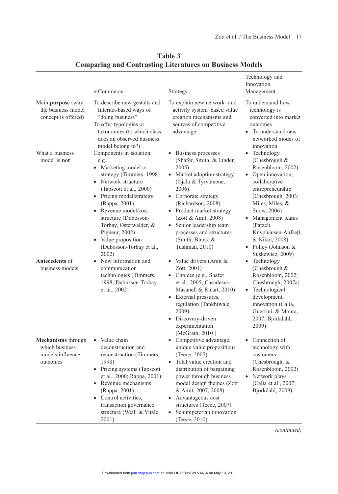|                                                                             | e-Commerce                                                                                                                                                                                                                                                                                                                                      | Strategy                                                                                                                                                                                                                                                                                                                  | Technology and<br>Innovation<br>Management                                                                                                                                                                                                                                                                                                                                                                                                                                                                                          |
|-----------------------------------------------------------------------------|-------------------------------------------------------------------------------------------------------------------------------------------------------------------------------------------------------------------------------------------------------------------------------------------------------------------------------------------------|---------------------------------------------------------------------------------------------------------------------------------------------------------------------------------------------------------------------------------------------------------------------------------------------------------------------------|-------------------------------------------------------------------------------------------------------------------------------------------------------------------------------------------------------------------------------------------------------------------------------------------------------------------------------------------------------------------------------------------------------------------------------------------------------------------------------------------------------------------------------------|
| Main <b>purpose</b> (why<br>the business model<br>concept is offered)       | To describe new gestalts and<br>Internet-based ways of<br>"doing business"<br>To offer typologies or<br>taxonomies (to which class<br>does an observed business<br>model belong to?)                                                                                                                                                            | To explain new network- and<br>activity system-based value<br>creation mechanisms and<br>sources of competitive<br>advantage                                                                                                                                                                                              | To understand how<br>technology is<br>converted into market<br>outcomes<br>• To understand new<br>networked modes of<br>innovation                                                                                                                                                                                                                                                                                                                                                                                                  |
| What a business<br>model is <b>not</b>                                      | Components in isolation,<br>e.g.,<br>• Marketing model or<br>strategy (Timmers, 1998)<br>• Network structure<br>(Tapscott et al., 2000)<br>• Pricing model/strategy<br>(Rappa, 2001)<br>• Revenue model/cost<br>structure (Dubosson-<br>Torbay, Osterwalder, &<br>Pigneur, $2002$ )<br>• Value proposition<br>(Dubosson-Torbay et al.,<br>2002) | Business processes<br>(Shafer, Smith, & Linder,<br>2005)<br>• Market adoption strategy<br>(Ojala & Tyrväinene,<br>2006)<br>• Corporate strategy<br>(Richardson, 2008)<br>• Product market strategy<br>(Zott & Amit, 2008)<br>• Senior leadership team<br>processes and structures<br>(Smith, Binns, $&$<br>Tushman, 2010) | Technology<br>$\bullet$<br>(Chesbrough &<br>Rosenbloom, 2002)<br>Open innovation,<br>$\bullet$<br>collaborative<br>entrepreneurship<br>(Chesbrough, 2003;<br>Miles, Miles, &<br>Snow, 2006)<br>• Management teams<br>(Patzelt,<br>Knyphausen-Aufseβ,<br>& Nikol, 2008)<br>• Policy (Johnson $&$<br>Suskewicz, 2009)<br>Technology<br>$\bullet$<br>(Chesbrough $&$<br>Rosenbloom, 2002;<br>Chesbrough, 2007a)<br>Technological<br>$\bullet$<br>development,<br>innovation (Calia,<br>Guerrini, & Moura,<br>2007; Björkdahl,<br>2009) |
| Antecedents of<br>business models                                           | • New information and<br>communication<br>technologies (Timmers,<br>1998; Dubosson-Torbay<br>et al., 2002)                                                                                                                                                                                                                                      | Value drivers (Amit &<br>Zott, 2001)<br>• Choices (e.g., Shafer<br>et al., 2005; Casadesus-<br>Masanell & Ricart, 2010)<br>• External pressures,<br>regulation (Tankhiwale,<br>2009)<br>• Discovery-driven<br>experimentation<br>(McGrath, 2010)                                                                          |                                                                                                                                                                                                                                                                                                                                                                                                                                                                                                                                     |
| <b>Mechanisms</b> through<br>which business<br>models influence<br>outcomes | Value chain<br>$\bullet$<br>deconstruction and<br>reconstruction (Timmers,<br>1998)<br>• Pricing systems (Tapscott<br>et al., 2000; Rappa, 2001)<br>• Revenue mechanisms<br>(Rappa, 2001)<br>• Control activities,<br>transaction governance<br>structure (Weill & Vitale,<br>2001)                                                             | • Competitive advantage,<br>unique value propositions<br>(Teece, 2007)<br>• Total value creation and<br>distribution of bargaining<br>power through business<br>model design themes (Zott<br>& Amit, 2007, 2008)<br>• Advantageous cost<br>structures (Teece, 2007)<br>Schumpeterian innovation<br>(Teece, 2010)          | Connection of<br>technology with<br>customers<br>(Chesbrough, $&$<br>Rosenbloom, 2002)<br>• Network plays<br>(Calia et al., 2007;<br>Björkdahl, 2009)                                                                                                                                                                                                                                                                                                                                                                               |

# **Table 3 Comparing and Contrasting Literatures on Business Models**

*(continued)*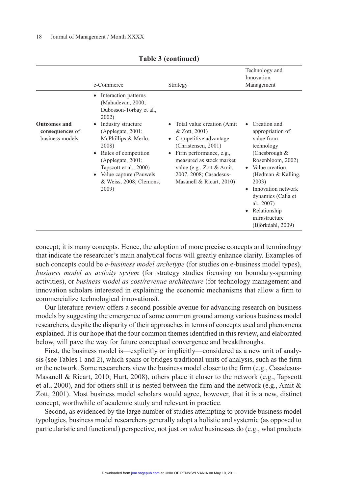|                                                           | e-Commerce                                                                                                                                                                                                                                                                                                                        | Strategy                                                                                                                                                                                                                                                | Technology and<br>Innovation<br>Management                                                                                                                                                                                                                             |
|-----------------------------------------------------------|-----------------------------------------------------------------------------------------------------------------------------------------------------------------------------------------------------------------------------------------------------------------------------------------------------------------------------------|---------------------------------------------------------------------------------------------------------------------------------------------------------------------------------------------------------------------------------------------------------|------------------------------------------------------------------------------------------------------------------------------------------------------------------------------------------------------------------------------------------------------------------------|
| <b>Outcomes and</b><br>consequences of<br>business models | Interaction patterns<br>٠<br>(Mahadevan, 2000;<br>Dubosson-Torbay et al.,<br>2002)<br>Industry structure<br>$\bullet$<br>(Applegate, 2001;<br>McPhillips & Merlo,<br>2008)<br>Rules of competition<br>٠<br>(Applegate, 2001;<br>Tapscott et al., 2000)<br>Value capture (Pauwels<br>$\bullet$<br>& Weiss, 2008; Clemons,<br>2009) | Total value creation (Amit<br>& Zott, 2001)<br>Competitive advantage<br>٠<br>(Christensen, 2001)<br>Firm performance, e.g.,<br>$\bullet$<br>measured as stock market<br>value (e.g., Zott & Amit,<br>2007, 2008; Casadesus-<br>Masanell & Ricart, 2010) | Creation and<br>appropriation of<br>value from<br>technology<br>(Chesbrough $&$<br>Rosenbloom, 2002)<br>Value creation<br>(Hedman & Kalling,<br>2003)<br>Innovation network<br>dynamics (Calia et<br>al., 2007)<br>Relationship<br>infrastructure<br>(Björkdahl, 2009) |

**Table 3 (continued)**

concept; it is many concepts. Hence, the adoption of more precise concepts and terminology that indicate the researcher's main analytical focus will greatly enhance clarity. Examples of such concepts could be *e-business model archetype* (for studies on e-business model types), *business model as activity system* (for strategy studies focusing on boundary-spanning activities), or *business model as cost/revenue architecture* (for technology management and innovation scholars interested in explaining the economic mechanisms that allow a firm to commercialize technological innovations).

Our literature review offers a second possible avenue for advancing research on business models by suggesting the emergence of some common ground among various business model researchers, despite the disparity of their approaches in terms of concepts used and phenomena explained. It is our hope that the four common themes identified in this review, and elaborated below, will pave the way for future conceptual convergence and breakthroughs.

First, the business model is—explicitly or implicitly—considered as a new unit of analysis (see Tables 1 and 2), which spans or bridges traditional units of analysis, such as the firm or the network. Some researchers view the business model closer to the firm (e.g., Casadesus-Masanell & Ricart, 2010; Hurt, 2008), others place it closer to the network (e.g., Tapscott et al., 2000), and for others still it is nested between the firm and the network (e.g., Amit  $\&$ Zott, 2001). Most business model scholars would agree, however, that it is a new, distinct concept, worthwhile of academic study and relevant in practice.

Second, as evidenced by the large number of studies attempting to provide business model typologies, business model researchers generally adopt a holistic and systemic (as opposed to particularistic and functional) perspective, not just on *what* businesses do (e.g., what products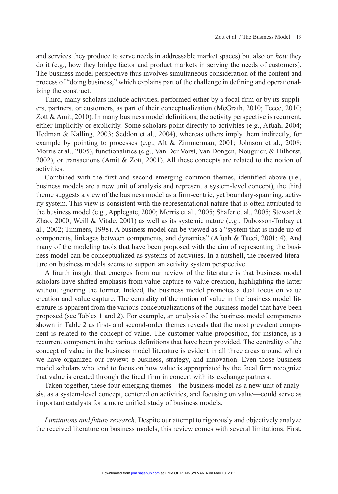and services they produce to serve needs in addressable market spaces) but also on *how* they do it (e.g., how they bridge factor and product markets in serving the needs of customers). The business model perspective thus involves simultaneous consideration of the content and process of "doing business," which explains part of the challenge in defining and operationalizing the construct.

Third, many scholars include activities, performed either by a focal firm or by its suppliers, partners, or customers, as part of their conceptualization (McGrath, 2010; Teece, 2010; Zott & Amit, 2010). In many business model definitions, the activity perspective is recurrent, either implicitly or explicitly. Some scholars point directly to activities (e.g., Afuah, 2004; Hedman & Kalling, 2003; Seddon et al., 2004), whereas others imply them indirectly, for example by pointing to processes (e.g., Alt & Zimmerman, 2001; Johnson et al., 2008; Morris et al., 2005), functionalities (e.g., Van Der Vorst, Van Dongen, Nouguier, & Hilhorst, 2002), or transactions (Amit & Zott, 2001). All these concepts are related to the notion of activities.

Combined with the first and second emerging common themes, identified above (i.e., business models are a new unit of analysis and represent a system-level concept), the third theme suggests a view of the business model as a firm-centric, yet boundary-spanning, activity system. This view is consistent with the representational nature that is often attributed to the business model (e.g., Applegate, 2000; Morris et al., 2005; Shafer et al., 2005; Stewart & Zhao, 2000; Weill & Vitale, 2001) as well as its systemic nature (e.g., Dubosson-Torbay et al., 2002; Timmers, 1998). A business model can be viewed as a "system that is made up of components, linkages between components, and dynamics" (Afuah & Tucci, 2001: 4). And many of the modeling tools that have been proposed with the aim of representing the business model can be conceptualized as systems of activities. In a nutshell, the received literature on business models seems to support an activity system perspective.

A fourth insight that emerges from our review of the literature is that business model scholars have shifted emphasis from value capture to value creation, highlighting the latter without ignoring the former. Indeed, the business model promotes a dual focus on value creation and value capture. The centrality of the notion of value in the business model literature is apparent from the various conceptualizations of the business model that have been proposed (see Tables 1 and 2). For example, an analysis of the business model components shown in Table 2 as first- and second-order themes reveals that the most prevalent component is related to the concept of value. The customer value proposition, for instance, is a recurrent component in the various definitions that have been provided. The centrality of the concept of value in the business model literature is evident in all three areas around which we have organized our review: e-business, strategy, and innovation. Even those business model scholars who tend to focus on how value is appropriated by the focal firm recognize that value is created through the focal firm in concert with its exchange partners.

Taken together, these four emerging themes—the business model as a new unit of analysis, as a system-level concept, centered on activities, and focusing on value—could serve as important catalysts for a more unified study of business models.

*Limitations and future research*. Despite our attempt to rigorously and objectively analyze the received literature on business models, this review comes with several limitations. First,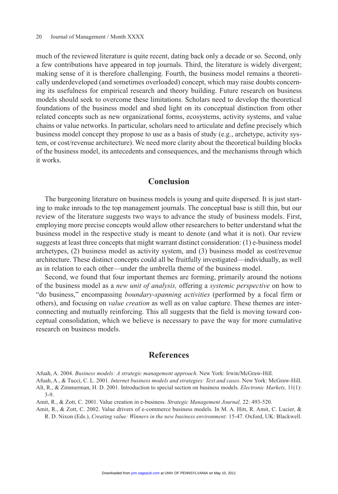much of the reviewed literature is quite recent, dating back only a decade or so. Second, only a few contributions have appeared in top journals. Third, the literature is widely divergent; making sense of it is therefore challenging. Fourth, the business model remains a theoretically underdeveloped (and sometimes overloaded) concept, which may raise doubts concerning its usefulness for empirical research and theory building. Future research on business models should seek to overcome these limitations. Scholars need to develop the theoretical foundations of the business model and shed light on its conceptual distinction from other related concepts such as new organizational forms, ecosystems, activity systems, and value chains or value networks. In particular, scholars need to articulate and define precisely which business model concept they propose to use as a basis of study (e.g., archetype, activity system, or cost/revenue architecture). We need more clarity about the theoretical building blocks of the business model, its antecedents and consequences, and the mechanisms through which it works.

### **Conclusion**

The burgeoning literature on business models is young and quite dispersed. It is just starting to make inroads to the top management journals. The conceptual base is still thin, but our review of the literature suggests two ways to advance the study of business models. First, employing more precise concepts would allow other researchers to better understand what the business model in the respective study is meant to denote (and what it is not). Our review suggests at least three concepts that might warrant distinct consideration: (1) e-business model archetypes, (2) business model as activity system, and (3) business model as cost/revenue architecture. These distinct concepts could all be fruitfully investigated—individually, as well as in relation to each other—under the umbrella theme of the business model.

Second, we found that four important themes are forming, primarily around the notions of the business model as a *new unit of analysis,* offering a *systemic perspective* on how to "do business," encompassing *boundary-spanning activities* (performed by a focal firm or others), and focusing on *value creation* as well as on value capture. These themes are interconnecting and mutually reinforcing. This all suggests that the field is moving toward conceptual consolidation, which we believe is necessary to pave the way for more cumulative research on business models.

# **References**

Afuah, A. 2004. *Business models: A strategic management approach*. New York: Irwin/McGraw-Hill.

Afuah, A., & Tucci, C. L. 2001. *Internet business models and strategies: Text and cases*. New York: McGraw-Hill. Alt, R., & Zimmerman, H. D. 2001. Introduction to special section on business models. *Electronic Markets,* 11(1): 3-9.

Amit, R., & Zott, C. 2001. Value creation in e-business. *Strategic Management Journal,* 22: 493-520.

Amit, R., & Zott, C. 2002. Value drivers of e-commerce business models. In M. A. Hitt, R. Amit, C. Lucier, & R. D. Nixon (Eds.), *Creating value: Winners in the new business environment:* 15-47. Oxford, UK: Blackwell.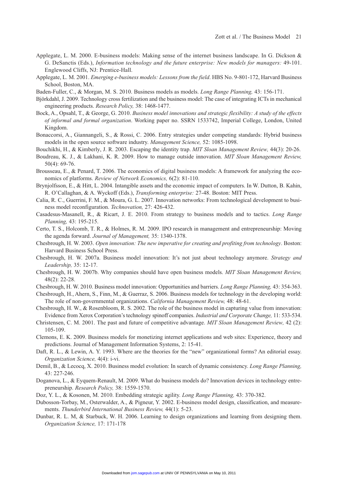- Applegate, L. M. 2000. E-business models: Making sense of the internet business landscape. In G. Dickson & G. DeSanctis (Eds.), *Information technology and the future enterprise: New models for managers:* 49-101. Englewood Cliffs, NJ: Prentice-Hall.
- Applegate, L. M. 2001. *Emerging e-business models: Lessons from the field*. HBS No. 9-801-172, Harvard Business School, Boston, MA.
- Baden-Fuller, C., & Morgan, M. S. 2010. Business models as models. *Long Range Planning,* 43: 156-171.
- Björkdahl, J. 2009. Technology cross fertilization and the business model: The case of integrating ICTs in mechanical engineering products. *Research Policy,* 38: 1468-1477.
- Bock, A., Opsahl, T., & George, G. 2010. *Business model innovations and strategic flexibility: A study of the effects of informal and formal organization*. Working paper no. SSRN 1533742, Imperial College, London, United Kingdom.
- Bonaccorsi, A., Giannangeli, S., & Rossi, C. 2006. Entry strategies under competing standards: Hybrid business models in the open source software industry. *Management Science,* 52: 1085-1098.
- Bouchikhi, H., & Kimberly, J. R. 2003. Escaping the identity trap. *MIT Sloan Management Review,* 44(3): 20-26.
- Boudreau, K. J., & Lakhani, K. R. 2009. How to manage outside innovation. *MIT Sloan Management Review,* 50(4): 69-76.
- Brousseau, E., & Penard, T. 2006. The economics of digital business models: A framework for analyzing the economics of platforms. *Review of Network Economics,* 6(2): 81-110.
- Brynjolfsson, E., & Hitt, L. 2004. Intangible assets and the economic impact of computers. In W. Dutton, B. Kahin, R. O'Callaghan, & A. Wyckoff (Eds.), *Transforming enterprise:* 27-48. Boston: MIT Press.
- Calia, R. C., Guerrini, F. M., & Moura, G. L. 2007. Innovation networks: From technological development to business model reconfiguration. *Technovation,* 27: 426-432.
- Casadesus-Masanell, R., & Ricart, J. E. 2010. From strategy to business models and to tactics. *Long Range Planning,* 43: 195-215.
- Certo, T. S., Holcomb, T. R., & Holmes, R. M. 2009. IPO research in management and entrepreneurship: Moving the agenda forward. *Journal of Management,* 35: 1340-1378.
- Chesbrough, H. W. 2003. *Open innovation: The new imperative for creating and profiting from technology*. Boston: Harvard Business School Press.
- Chesbrough, H. W. 2007a. Business model innovation: It's not just about technology anymore. *Strategy and Leadership,* 35: 12-17.
- Chesbrough, H. W. 2007b. Why companies should have open business models. *MIT Sloan Management Review,* 48(2): 22-28.
- Chesbrough, H. W. 2010. Business model innovation: Opportunities and barriers. *Long Range Planning,* 43: 354-363.
- Chesbrough, H., Ahern, S., Finn, M., & Guerraz, S. 2006. Business models for technology in the developing world: The role of non-governmental organizations. *California Management Review,* 48: 48-61.
- Chesbrough, H. W., & Rosenbloom, R. S. 2002. The role of the business model in capturing value from innovation: Evidence from Xerox Corporation's technology spinoff companies. *Industrial and Corporate Change,* 11: 533-534.
- Christensen, C. M. 2001. The past and future of competitive advantage. *MIT Sloan Management Review,* 42 (2): 105-109.
- Clemons, E. K. 2009. Business models for monetizing internet applications and web sites: Experience, theory and predictions. Journal of Management Information Systems, 2: 15-41.
- Daft, R. L., & Lewin, A. Y. 1993. Where are the theories for the "new" organizational forms? An editorial essay. *Organization Science,* 4(4): i-vi.
- Demil, B., & Lecocq, X. 2010. Business model evolution: In search of dynamic consistency. *Long Range Planning,* 43: 227-246.
- Doganova, L., & Eyquem-Renault, M. 2009. What do business models do? Innovation devices in technology entrepreneurship. *Research Policy,* 38: 1559-1570.
- Doz, Y. L., & Kosonen, M. 2010. Embedding strategic agility. *Long Range Planning,* 43: 370-382.
- Dubosson-Torbay, M., Osterwalder, A., & Pigneur, Y. 2002. E-business model design, classification, and measurements. *Thunderbird International Business Review,* 44(1): 5-23.
- Dunbar, R. L. M, & Starbuck, W. H. 2006. Learning to design organizations and learning from designing them. *Organization Science,* 17: 171-178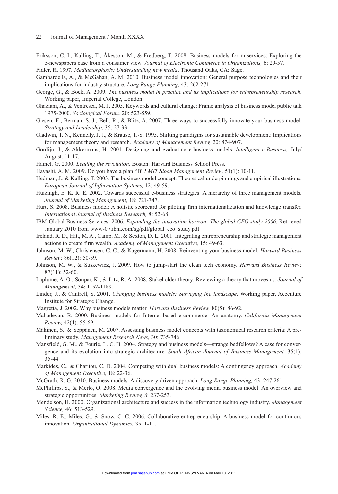- Eriksson, C. I., Kalling, T., Åkesson, M., & Fredberg, T. 2008. Business models for m-services: Exploring the e-newspapers case from a consumer view. *Journal of Electronic Commerce in Organizations,* 6: 29-57.
- Fidler, R. 1997. *Mediamorphosis: Understanding new media*. Thousand Oaks, CA: Sage.
- Gambardella, A., & McGahan, A. M. 2010. Business model innovation: General purpose technologies and their implications for industry structure. *Long Range Planning,* 43: 262-271.
- George, G., & Bock, A. 2009. *The business model in practice and its implications for entrepreneurship research*. Working paper, Imperial College, London.
- Ghaziani, A., & Ventresca, M. J. 2005. Keywords and cultural change: Frame analysis of business model public talk 1975-2000. *Sociological Forum,* 20: 523-559.
- Giesen, E., Berman, S. J., Bell, R., & Blitz, A. 2007. Three ways to successfully innovate your business model. *Strategy and Leadership,* 35: 27-33.
- Gladwin, T. N., Kennelly, J. J., & Krause, T.-S. 1995. Shifting paradigms for sustainable development: Implications for management theory and research. *Academy of Management Review,* 20: 874-907.
- Gordijn, J., & Akkermans, H. 2001. Designing and evaluating e-business models. *Intelligent e-Business,* July/ August: 11-17.
- Hamel, G. 2000. *Leading the revolution*. Boston: Harvard Business School Press.
- Hayashi, A. M. 2009. Do you have a plan "B"? *MIT Sloan Management Review,* 51(1): 10-11.
- Hedman, J., & Kalling, T. 2003. The business model concept: Theoretical underpinnings and empirical illustrations. *European Journal of Information Systems,* 12: 49-59.
- Huizingh, E. K. R. E. 2002. Towards successful e-business strategies: A hierarchy of three management models. *Journal of Marketing Management,* 18: 721-747.
- Hurt, S. 2008. Business model: A holistic scorecard for piloting firm internationalization and knowledge transfer. *International Journal of Business Research,* 8: 52-68.
- IBM Global Business Services. 2006. *Expanding the innovation horizon: The global CEO study 2006*. Retrieved January 2010 from www-07.ibm.com/sg/pdf/global\_ceo\_study.pdf
- Ireland, R. D., Hitt, M. A., Camp, M., & Sexton, D. L. 2001. Integrating entrepreneurship and strategic management actions to create firm wealth. *Academy of Management Executive,* 15: 49-63.
- Johnson, M. W., Christensen, C. C., & Kagermann, H. 2008. Reinventing your business model. *Harvard Business Review,* 86(12): 50-59.
- Johnson, M. W., & Suskewicz, J. 2009. How to jump-start the clean tech economy. *Harvard Business Review,* 87(11): 52-60.
- Laplume, A. O., Sonpar, K., & Litz, R. A. 2008. Stakeholder theory: Reviewing a theory that moves us. *Journal of Management,* 34: 1152-1189.
- Linder, J., & Cantrell, S. 2001. *Changing business models: Surveying the landscape*. Working paper, Accenture Institute for Strategic Change.
- Magretta, J. 2002. Why business models matter. *Harvard Business Review,* 80(5): 86-92.
- Mahadevan, B. 2000. Business models for Internet-based e-commerce: An anatomy. *California Management Review,* 42(4): 55-69.
- Mäkinen, S., & Seppänen, M. 2007. Assessing business model concepts with taxonomical research criteria: A preliminary study. *Management Research News,* 30: 735-746.
- Mansfield, G. M., & Fourie, L. C. H. 2004. Strategy and business models—strange bedfellows? A case for convergence and its evolution into strategic architecture. *South African Journal of Business Management,* 35(1): 35-44.
- Markides, C., & Charitou, C. D. 2004. Competing with dual business models: A contingency approach. *Academy of Management Executive,* 18: 22-36.
- McGrath, R. G. 2010. Business models: A discovery driven approach. *Long Range Planning,* 43: 247-261.
- McPhillips, S., & Merlo, O. 2008. Media convergence and the evolving media business model: An overview and strategic opportunities. *Marketing Review,* 8: 237-253.
- Mendelson, H. 2000. Organizational architecture and success in the information technology industry. *Management Science,* 46: 513-529.
- Miles, R. E., Miles, G., & Snow, C. C. 2006. Collaborative entrepreneurship: A business model for continuous innovation. *Organizational Dynamics,* 35: 1-11.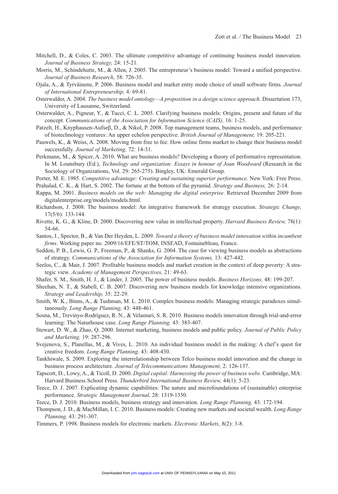- Mitchell, D., & Coles, C. 2003. The ultimate competitive advantage of continuing business model innovation. *Journal of Business Strategy,* 24: 15-21.
- Morris, M., Schindehutte, M., & Allen, J. 2005. The entrepreneur's business model: Toward a unified perspective. *Journal of Business Research,* 58: 726-35.
- Ojala, A., & Tyrväinene, P. 2006. Business model and market entry mode choice of small software firms. *Journal of International Entrepreneurship,* 4: 69-81.
- Osterwalder, A. 2004. *The business model ontology—A proposition in a design science approach*. Dissertation 173, University of Lausanne, Switzerland.
- Osterwalder, A., Pigneur, Y., & Tucci, C. L. 2005. Clarifying business models: Origins, present and future of the concept. *Communications of the Association for Information Science (CAIS),* 16: 1-25.
- Patzelt, H., Knyphausen-Aufseß, D., & Nikol, P. 2008. Top management teams, business models, and performance of biotechnology ventures: An upper echelon perspective. *British Journal of Management,* 19: 205-221.
- Pauwels, K., & Weiss, A. 2008. Moving from free to fee: How online firms market to change their business model successfully. *Journal of Marketing,* 72: 14-31.
- Perkmann, M., & Spicer, A. 2010. What are business models? Developing a theory of performative representation. In M. Lounsbury (Ed.), *Technology and organization: Essays in honour of Joan Woodward* (Research in the Sociology of Organizations, Vol. 29: 265-275). Bingley, UK: Emerald Group.

Porter, M. E. 1985. *Competitive advantage: Creating and sustaining superior performance*. New York: Free Press.

Prahalad, C. K., & Hart, S. 2002. The fortune at the bottom of the pyramid. *Strategy and Business,* 26: 2-14.

- Rappa, M. 2001. *Business models on the web: Managing the digital enterprise*. Retrieved December 2009 from digitalenterprise.org/models/models.html.
- Richardson, J. 2008. The business model: An integrative framework for strategy execution. *Strategic Change,* 17(5/6): 133-144.
- Rivette, K. G., & Kline, D. 2000. Discovering new value in intellectual property. *Harvard Business Review,* 78(1): 54-66.
- Santos, J., Spector, B., & Van Der Heyden, L. 2009. *Toward a theory of business model innovation within incumbent firms*. Working paper no. 2009/16/EFE/ST/TOM, INSEAD, Fontainebleau, France.
- Seddon, P. B., Lewis, G. P., Freeman, P., & Shanks, G. 2004. The case for viewing business models as abstractions of strategy. *Communications of the Association for Information Systems,* 13: 427-442.
- Seelos, C., & Mair, J. 2007. Profitable business models and market creation in the context of deep poverty: A strategic view. *Academy of Management Perspectives,* 21: 49-63.
- Shafer, S. M., Smith, H. J., & Linder, J. 2005. The power of business models. *Business Horizons,* 48: 199-207.
- Sheehan, N. T., & Stabell, C. B. 2007. Discovering new business models for knowledge intensive organizations. *Strategy and Leadership,* 35: 22-29.
- Smith, W. K., Binns, A., & Tushman, M. L. 2010. Complex business models: Managing strategic paradoxes simultaneously. *Long Range Planning,* 43: 448-461.
- Sosna, M., Trevinyo-Rodríguez, R. N., & Velamuri, S. R. 2010. Business models innovation through trial-and-error learning: The Naturhouse case. *Long Range Planning,* 43: 383-407.
- Stewart, D. W., & Zhao, Q. 2000. Internet marketing, business models and public policy. *Journal of Public Policy and Marketing,* 19: 287-296.
- Svejenova, S., Planellas, M., & Vives, L. 2010. An individual business model in the making: A chef's quest for creative freedom. *Long Range Planning,* 43: 408-430.
- Tankhiwale, S. 2009. Exploring the interrelationship between Telco business model innovation and the change in business process architecture. *Journal of Telecommunications Management,* 2: 126-137.
- Tapscott, D., Lowy, A., & Ticoll, D. 2000. *Digital capital: Harnessing the power of business webs*. Cambridge, MA: Harvard Business School Press. *Thunderbird International Business Review,* 44(1): 5-23.
- Teece, D. J. 2007. Explicating dynamic capabilities: The nature and microfoundations of (sustainable) enterprise performance. *Strategic Management Journal,* 28: 1319-1350.
- Teece, D. J. 2010. Business models, business strategy and innovation. *Long Range Planning,* 43: 172-194.
- Thompson, J. D., & MacMillan, I. C. 2010. Business models: Creating new markets and societal wealth. *Long Range Planning,* 43: 291-307.
- Timmers, P. 1998. Business models for electronic markets. *Electronic Markets,* 8(2): 3-8.